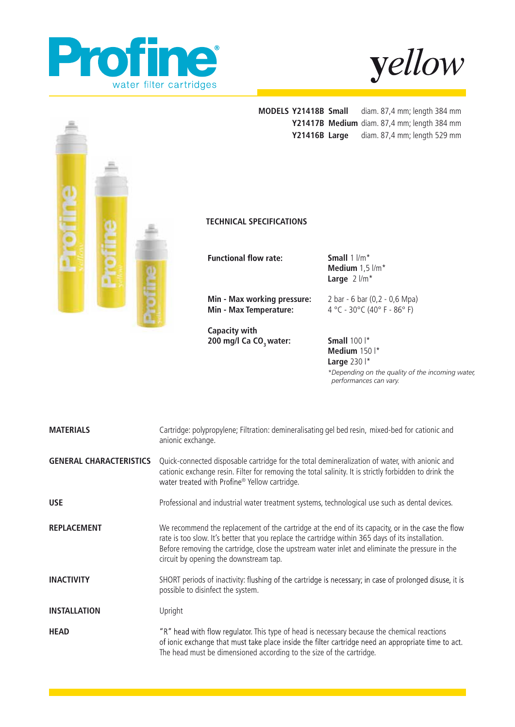





*\*Depending on the quality of the incoming water, performances can vary.*

| <b>MATERIALS</b>               | Cartridge: polypropylene; Filtration: demineralisating gel bed resin, mixed-bed for cationic and<br>anionic exchange.                                                                                                                                                                                                                               |  |
|--------------------------------|-----------------------------------------------------------------------------------------------------------------------------------------------------------------------------------------------------------------------------------------------------------------------------------------------------------------------------------------------------|--|
| <b>GENERAL CHARACTERISTICS</b> | Quick-connected disposable cartridge for the total demineralization of water, with anionic and<br>cationic exchange resin. Filter for removing the total salinity. It is strictly forbidden to drink the<br>water treated with Profine® Yellow cartridge.                                                                                           |  |
| <b>USE</b>                     | Professional and industrial water treatment systems, technological use such as dental devices.                                                                                                                                                                                                                                                      |  |
| <b>REPLACEMENT</b>             | We recommend the replacement of the cartridge at the end of its capacity, or in the case the flow<br>rate is too slow. It's better that you replace the cartridge within 365 days of its installation.<br>Before removing the cartridge, close the upstream water inlet and eliminate the pressure in the<br>circuit by opening the downstream tap. |  |
| <b>INACTIVITY</b>              | SHORT periods of inactivity: flushing of the cartridge is necessary; in case of prolonged disuse, it is<br>possible to disinfect the system.                                                                                                                                                                                                        |  |
| <b>INSTALLATION</b>            | Upright                                                                                                                                                                                                                                                                                                                                             |  |
| <b>HEAD</b>                    | "R" head with flow regulator. This type of head is necessary because the chemical reactions<br>of ionic exchange that must take place inside the filter cartridge need an appropriate time to act.<br>The head must be dimensioned according to the size of the cartridge.                                                                          |  |